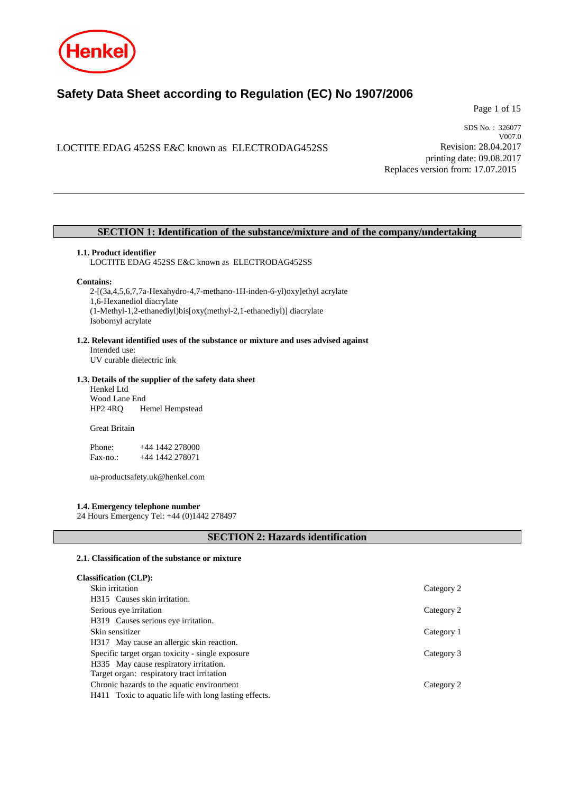

# **Safety Data Sheet according to Regulation (EC) No 1907/2006**

Page 1 of 15

## LOCTITE EDAG 452SS E&C known as ELECTRODAG452SS

SDS No. : 326077 V007.0 Revision: 28.04.2017 printing date: 09.08.2017 Replaces version from: 17.07.2015

## **SECTION 1: Identification of the substance/mixture and of the company/undertaking**

#### **1.1. Product identifier**

LOCTITE EDAG 452SS E&C known as ELECTRODAG452SS

#### **Contains:**

2-[(3a,4,5,6,7,7a-Hexahydro-4,7-methano-1H-inden-6-yl)oxy]ethyl acrylate 1,6-Hexanediol diacrylate (1-Methyl-1,2-ethanediyl)bis[oxy(methyl-2,1-ethanediyl)] diacrylate Isobornyl acrylate

#### **1.2. Relevant identified uses of the substance or mixture and uses advised against**

Intended use: UV curable dielectric ink

#### **1.3. Details of the supplier of the safety data sheet**

Henkel Ltd Wood Lane End HP2 4RQ Hemel Hempstead

Great Britain

Phone: +44 1442 278000 Fax-no.: +44 1442 278071

ua-productsafety.uk@henkel.com

#### **1.4. Emergency telephone number**

24 Hours Emergency Tel: +44 (0)1442 278497

## **SECTION 2: Hazards identification**

#### **2.1. Classification of the substance or mixture**

| <b>Classification (CLP):</b>                          |            |
|-------------------------------------------------------|------------|
| Skin irritation                                       | Category 2 |
| H315 Causes skin irritation.                          |            |
| Serious eye irritation                                | Category 2 |
| H319 Causes serious eye irritation.                   |            |
| Skin sensitizer                                       | Category 1 |
| H317 May cause an allergic skin reaction.             |            |
| Specific target organ toxicity - single exposure      | Category 3 |
| H335 May cause respiratory irritation.                |            |
| Target organ: respiratory tract irritation            |            |
| Chronic hazards to the aquatic environment            | Category 2 |
| H411 Toxic to aquatic life with long lasting effects. |            |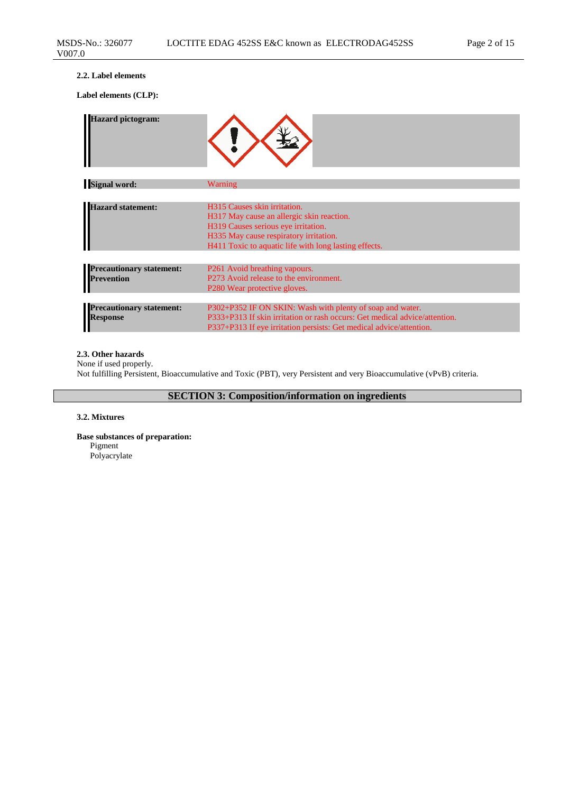#### **2.2. Label elements**

**Label elements (CLP):**

| <b>Hazard pictogram:</b>                             |                                                                                                                                                                                                                     |
|------------------------------------------------------|---------------------------------------------------------------------------------------------------------------------------------------------------------------------------------------------------------------------|
| <b>Signal word:</b>                                  | Warning                                                                                                                                                                                                             |
|                                                      |                                                                                                                                                                                                                     |
| <b>Hazard statement:</b>                             | H315 Causes skin irritation.<br>H317 May cause an allergic skin reaction.<br>H319 Causes serious eye irritation.<br>H335 May cause respiratory irritation.<br>H411 Toxic to aquatic life with long lasting effects. |
|                                                      |                                                                                                                                                                                                                     |
| <b>Precautionary statement:</b><br><b>Prevention</b> | P261 Avoid breathing vapours.<br>P273 Avoid release to the environment.<br>P <sub>280</sub> Wear protective gloves.                                                                                                 |
| <b>Precautionary statement:</b>                      | P302+P352 IF ON SKIN: Wash with plenty of soap and water.                                                                                                                                                           |
| <b>Response</b>                                      | P333+P313 If skin irritation or rash occurs: Get medical advice/attention.<br>P337+P313 If eye irritation persists: Get medical advice/attention.                                                                   |

## **2.3. Other hazards**

None if used properly. Not fulfilling Persistent, Bioaccumulative and Toxic (PBT), very Persistent and very Bioaccumulative (vPvB) criteria.

**SECTION 3: Composition/information on ingredients**

## **3.2. Mixtures**

**Base substances of preparation:** Pigment Polyacrylate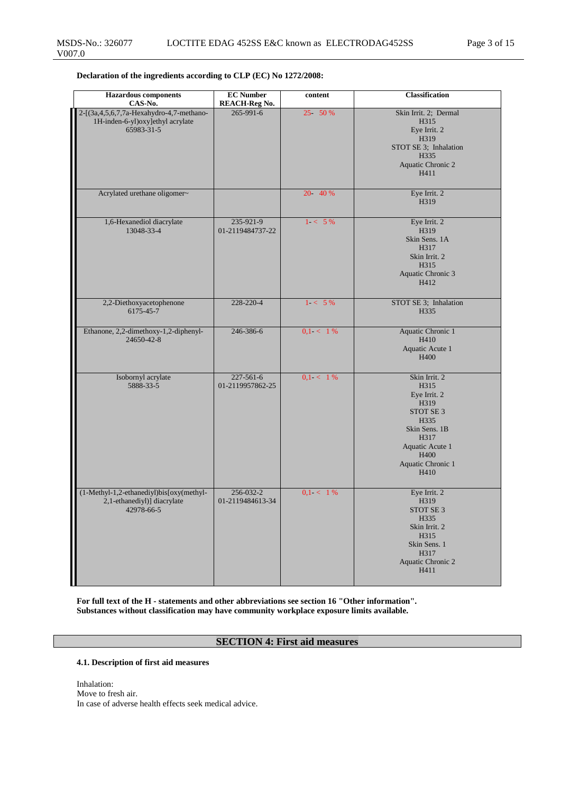| <b>Hazardous</b> components<br>CAS-No.                                                           | <b>EC</b> Number<br><b>REACH-Reg No.</b> | content     | <b>Classification</b>                                                                                                                               |
|--------------------------------------------------------------------------------------------------|------------------------------------------|-------------|-----------------------------------------------------------------------------------------------------------------------------------------------------|
| 2-[(3a, 4, 5, 6, 7, 7a-Hexahydro-4, 7-methano-<br>1H-inden-6-yl)oxy]ethyl acrylate<br>65983-31-5 | $265 - 991 - 6$                          | 25 50 %     | Skin Irrit. 2; Dermal<br>H315<br>Eye Irrit. 2<br>H319<br>STOT SE 3; Inhalation<br>H335<br>Aquatic Chronic 2<br>H411                                 |
| Acrylated urethane oligomer~                                                                     |                                          | 20 40 %     | Eye Irrit. 2<br>H319                                                                                                                                |
| 1,6-Hexanediol diacrylate<br>13048-33-4                                                          | 235-921-9<br>01-2119484737-22            | $1 - 5\%$   | Eye Irrit. 2<br>H319<br>Skin Sens. 1A<br>H317<br>Skin Irrit. 2<br>H315<br>Aquatic Chronic 3<br>H412                                                 |
| 2,2-Diethoxyacetophenone<br>6175-45-7                                                            | 228-220-4                                | $1 < 5\%$   | STOT SE 3; Inhalation<br>H335                                                                                                                       |
| Ethanone, 2,2-dimethoxy-1,2-diphenyl-<br>24650-42-8                                              | 246-386-6                                | $0.1 < 1\%$ | <b>Aquatic Chronic 1</b><br>H410<br>Aquatic Acute 1<br>H400                                                                                         |
| Isobornyl acrylate<br>5888-33-5                                                                  | $227 - 561 - 6$<br>01-2119957862-25      | $0.1 < 1\%$ | Skin Irrit. 2<br>H315<br>Eye Irrit. 2<br>H319<br>STOT SE 3<br>H335<br>Skin Sens. 1B<br>H317<br>Aquatic Acute 1<br>H400<br>Aquatic Chronic 1<br>H410 |
| (1-Methyl-1,2-ethanediyl)bis[oxy(methyl-<br>2,1-ethanediyl)] diacrylate<br>42978-66-5            | 256-032-2<br>01-2119484613-34            | $0,1 < 1\%$ | Eye Irrit. 2<br>H319<br>STOT SE 3<br>H335<br>Skin Irrit. 2<br>H315<br>Skin Sens. 1<br>H317<br>Aquatic Chronic 2<br>H411                             |

**For full text of the H - statements and other abbreviations see section 16 "Other information". Substances without classification may have community workplace exposure limits available.**

## **SECTION 4: First aid measures**

## **4.1. Description of first aid measures**

Inhalation: Move to fresh air. In case of adverse health effects seek medical advice.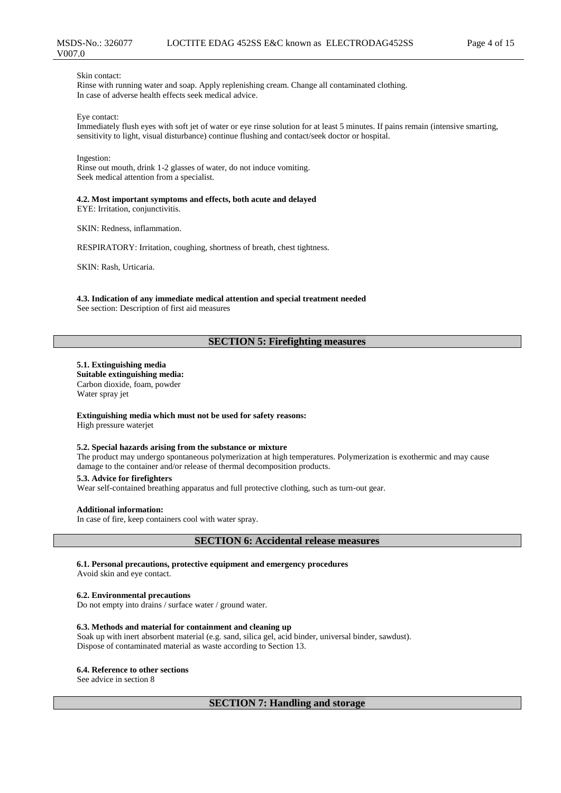#### Skin contact:

Rinse with running water and soap. Apply replenishing cream. Change all contaminated clothing. In case of adverse health effects seek medical advice.

Eye contact:

Immediately flush eyes with soft jet of water or eye rinse solution for at least 5 minutes. If pains remain (intensive smarting, sensitivity to light, visual disturbance) continue flushing and contact/seek doctor or hospital.

#### Ingestion:

Rinse out mouth, drink 1-2 glasses of water, do not induce vomiting. Seek medical attention from a specialist.

## **4.2. Most important symptoms and effects, both acute and delayed**

EYE: Irritation, conjunctivitis.

SKIN: Redness, inflammation.

RESPIRATORY: Irritation, coughing, shortness of breath, chest tightness.

SKIN: Rash, Urticaria.

**4.3. Indication of any immediate medical attention and special treatment needed** See section: Description of first aid measures

## **SECTION 5: Firefighting measures**

#### **5.1. Extinguishing media**

**Suitable extinguishing media:** Carbon dioxide, foam, powder Water spray jet

**Extinguishing media which must not be used for safety reasons:** High pressure waterjet

#### **5.2. Special hazards arising from the substance or mixture**

The product may undergo spontaneous polymerization at high temperatures. Polymerization is exothermic and may cause damage to the container and/or release of thermal decomposition products.

**5.3. Advice for firefighters**

Wear self-contained breathing apparatus and full protective clothing, such as turn-out gear.

#### **Additional information:**

In case of fire, keep containers cool with water spray.

## **SECTION 6: Accidental release measures**

**6.1. Personal precautions, protective equipment and emergency procedures**

Avoid skin and eye contact.

#### **6.2. Environmental precautions**

Do not empty into drains / surface water / ground water.

#### **6.3. Methods and material for containment and cleaning up**

Soak up with inert absorbent material (e.g. sand, silica gel, acid binder, universal binder, sawdust). Dispose of contaminated material as waste according to Section 13.

#### **6.4. Reference to other sections**

See advice in section 8

## **SECTION 7: Handling and storage**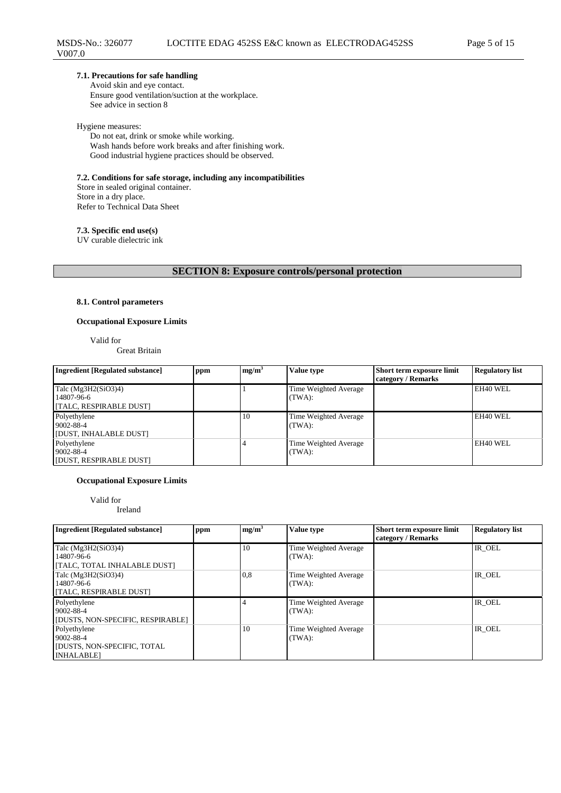### **7.1. Precautions for safe handling**

Avoid skin and eye contact. Ensure good ventilation/suction at the workplace. See advice in section 8

#### Hygiene measures:

Do not eat, drink or smoke while working. Wash hands before work breaks and after finishing work. Good industrial hygiene practices should be observed.

**7.2. Conditions for safe storage, including any incompatibilities** Store in sealed original container.

Store in a dry place. Refer to Technical Data Sheet

**7.3. Specific end use(s)**

UV curable dielectric ink

## **SECTION 8: Exposure controls/personal protection**

## **8.1. Control parameters**

#### **Occupational Exposure Limits**

Valid for

Great Britain

| Ingredient [Regulated substance]                               | ppm | mg/m <sup>3</sup> | Value type                      | <b>Short term exposure limit</b><br>category / Remarks | <b>Regulatory list</b> |
|----------------------------------------------------------------|-----|-------------------|---------------------------------|--------------------------------------------------------|------------------------|
| Talc $(Mg3H2(SiO3)4)$<br>14807-96-6<br>[TALC, RESPIRABLE DUST] |     |                   | Time Weighted Average<br>(TWA): |                                                        | EH40 WEL               |
| Polyethylene<br>9002-88-4<br>[DUST, INHALABLE DUST]            |     | 10                | Time Weighted Average<br>(TWA): |                                                        | EH40 WEL               |
| Polyethylene<br>9002-88-4<br>[DUST, RESPIRABLE DUST]           |     |                   | Time Weighted Average<br>(TWA): |                                                        | EH40 WEL               |

## **Occupational Exposure Limits**

Valid for

Ireland

| <b>Ingredient [Regulated substance]</b>                                              | ppm | mg/m <sup>3</sup> | Value type                      | Short term exposure limit<br>category / Remarks | <b>Regulatory list</b> |
|--------------------------------------------------------------------------------------|-----|-------------------|---------------------------------|-------------------------------------------------|------------------------|
| Talc $(Mg3H2(SiO3)4)$<br>14807-96-6<br>[TALC, TOTAL INHALABLE DUST]                  |     | 10                | Time Weighted Average<br>(TWA): |                                                 | IR OEL                 |
| Talc (Mg3H2(SiO3)4)<br>14807-96-6<br>[TALC, RESPIRABLE DUST]                         |     | 0,8               | Time Weighted Average<br>(TWA): |                                                 | IR OEL                 |
| Polyethylene<br>9002-88-4<br>[DUSTS, NON-SPECIFIC, RESPIRABLE]                       |     |                   | Time Weighted Average<br>(TWA): |                                                 | IR OEL                 |
| Polyethylene<br>9002-88-4<br><b>[DUSTS, NON-SPECIFIC, TOTAL</b><br><b>INHALABLE1</b> |     | 10                | Time Weighted Average<br>(TWA): |                                                 | IR OEL                 |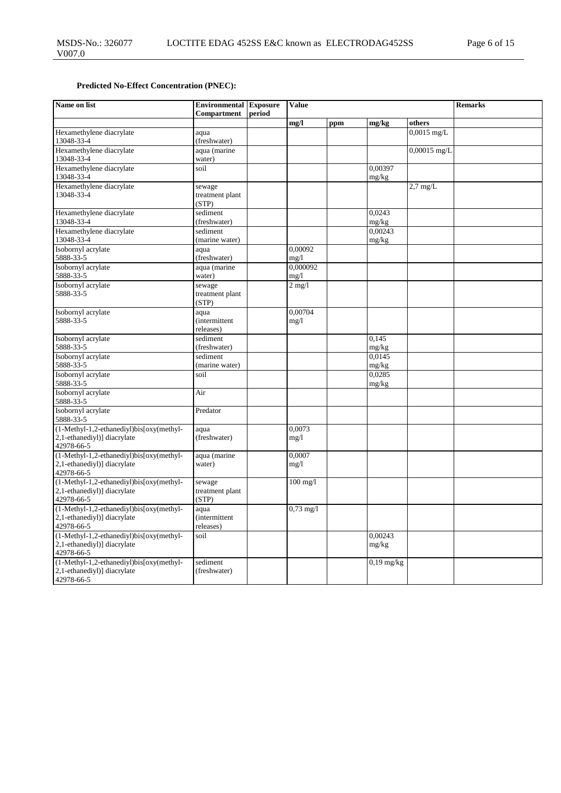## **Predicted No-Effect Concentration (PNEC):**

| Name on list                                                                          | <b>Environmental</b> Exposure<br>Compartment | period | <b>Value</b>        |     |                  |                    | <b>Remarks</b> |
|---------------------------------------------------------------------------------------|----------------------------------------------|--------|---------------------|-----|------------------|--------------------|----------------|
|                                                                                       |                                              |        | mg/l                | ppm | mg/kg            | others             |                |
| Hexamethylene diacrylate<br>13048-33-4                                                | aqua<br>(freshwater)                         |        |                     |     |                  | $0,0015$ mg/L      |                |
| Hexamethylene diacrylate<br>13048-33-4                                                | aqua (marine<br>water)                       |        |                     |     |                  | $0,00015$ mg/L     |                |
| Hexamethylene diacrylate<br>13048-33-4                                                | soil                                         |        |                     |     | 0.00397<br>mg/kg |                    |                |
| Hexamethylene diacrylate<br>13048-33-4                                                | sewage<br>treatment plant<br>(STP)           |        |                     |     |                  | $2.7 \text{ mg/L}$ |                |
| Hexamethylene diacrylate<br>13048-33-4                                                | sediment<br>(freshwater)                     |        |                     |     | 0.0243<br>mg/kg  |                    |                |
| Hexamethylene diacrylate<br>13048-33-4                                                | sediment<br>(marine water)                   |        |                     |     | 0,00243<br>mg/kg |                    |                |
| Isobornyl acrylate<br>5888-33-5                                                       | aqua<br>(freshwater)                         |        | 0.00092<br>mg/1     |     |                  |                    |                |
| Isobornyl acrylate<br>5888-33-5                                                       | aqua (marine<br>water)                       |        | 0.000092<br>mg/1    |     |                  |                    |                |
| Isobornyl acrylate<br>5888-33-5                                                       | sewage<br>treatment plant<br>(STP)           |        | $2$ mg/l            |     |                  |                    |                |
| Isobornyl acrylate<br>5888-33-5                                                       | aqua<br><i>(intermittent</i><br>releases)    |        | 0.00704<br>mg/1     |     |                  |                    |                |
| Isobornyl acrylate<br>5888-33-5                                                       | sediment<br>(freshwater)                     |        |                     |     | 0,145<br>mg/kg   |                    |                |
| Isobornyl acrylate<br>5888-33-5                                                       | sediment<br>(marine water)                   |        |                     |     | 0.0145<br>mg/kg  |                    |                |
| Isobornyl acrylate<br>5888-33-5                                                       | soil                                         |        |                     |     | 0.0285<br>mg/kg  |                    |                |
| Isobornyl acrylate<br>5888-33-5                                                       | Air                                          |        |                     |     |                  |                    |                |
| Isobornyl acrylate<br>5888-33-5                                                       | Predator                                     |        |                     |     |                  |                    |                |
| (1-Methyl-1,2-ethanediyl)bis[oxy(methyl-<br>2,1-ethanediyl)] diacrylate<br>42978-66-5 | aqua<br>(freshwater)                         |        | 0,0073<br>mg/1      |     |                  |                    |                |
| (1-Methyl-1,2-ethanediyl)bis[oxy(methyl-<br>2,1-ethanediyl)] diacrylate<br>42978-66-5 | aqua (marine<br>water)                       |        | 0.0007<br>mg/l      |     |                  |                    |                |
| (1-Methyl-1,2-ethanediyl)bis[oxy(methyl-<br>2,1-ethanediyl)] diacrylate<br>42978-66-5 | sewage<br>treatment plant<br>(STP)           |        | $100$ mg/l          |     |                  |                    |                |
| (1-Methyl-1,2-ethanediyl)bis[oxy(methyl-<br>2,1-ethanediyl)] diacrylate<br>42978-66-5 | aqua<br><i>(intermittent)</i><br>releases)   |        | $0,73 \text{ mg}/1$ |     |                  |                    |                |
| (1-Methyl-1,2-ethanediyl)bis[oxy(methyl-<br>2,1-ethanediyl)] diacrylate<br>42978-66-5 | soil                                         |        |                     |     | 0,00243<br>mg/kg |                    |                |
| (1-Methyl-1,2-ethanediyl)bis[oxy(methyl-<br>2,1-ethanediyl)] diacrylate<br>42978-66-5 | sediment<br>(freshwater)                     |        |                     |     | $0,19$ mg/kg     |                    |                |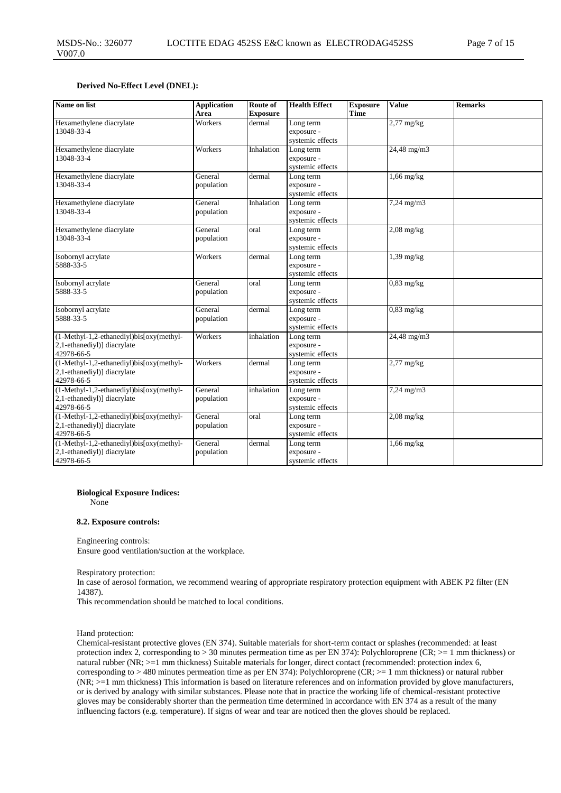#### **Derived No-Effect Level (DNEL):**

| Name on list                                                                                | <b>Application</b><br>Area | Route of<br><b>Exposure</b> | <b>Health Effect</b>                        | <b>Exposure</b><br><b>Time</b> | Value                                      | <b>Remarks</b> |
|---------------------------------------------------------------------------------------------|----------------------------|-----------------------------|---------------------------------------------|--------------------------------|--------------------------------------------|----------------|
| Hexamethylene diacrylate<br>13048-33-4                                                      | Workers                    | dermal                      | Long term<br>exposure -<br>systemic effects |                                | $2,77$ mg/kg                               |                |
| Hexamethylene diacrylate<br>13048-33-4                                                      | Workers                    | Inhalation                  | Long term<br>exposure -<br>systemic effects |                                | $24,48 \overline{\mathrm{mg}}/\mathrm{m}3$ |                |
| Hexamethylene diacrylate<br>13048-33-4                                                      | General<br>population      | dermal                      | Long term<br>exposure -<br>systemic effects |                                | $1,66$ mg/kg                               |                |
| Hexamethylene diacrylate<br>13048-33-4                                                      | General<br>population      | Inhalation                  | Long term<br>exposure -<br>systemic effects |                                | $7,24 \text{ mg/m}$ 3                      |                |
| Hexamethylene diacrylate<br>13048-33-4                                                      | General<br>population      | oral                        | Long term<br>exposure -<br>systemic effects |                                | $2,08$ mg/kg                               |                |
| Isobornyl acrylate<br>5888-33-5                                                             | Workers                    | dermal                      | Long term<br>exposure -<br>systemic effects |                                | $1,39$ mg/kg                               |                |
| Isobornyl acrylate<br>5888-33-5                                                             | General<br>population      | oral                        | Long term<br>exposure -<br>systemic effects |                                | $0,83$ mg/kg                               |                |
| Isobornyl acrylate<br>5888-33-5                                                             | General<br>population      | dermal                      | Long term<br>exposure -<br>systemic effects |                                | $0,83$ mg/kg                               |                |
| (1-Methyl-1,2-ethanediyl)bis[oxy(methyl-<br>2,1-ethanediyl)] diacrylate<br>42978-66-5       | Workers                    | inhalation                  | Long term<br>exposure -<br>systemic effects |                                | 24,48 mg/m3                                |                |
| $(1-Methyl-1,2-ethanediyl)bis[oxy(methyl-$<br>2,1-ethanediyl)] diacrylate<br>42978-66-5     | Workers                    | dermal                      | Long term<br>exposure -<br>systemic effects |                                | $2,77$ mg/kg                               |                |
| (1-Methyl-1,2-ethanediyl)bis[oxy(methyl-<br>2,1-ethanediyl)] diacrylate<br>42978-66-5       | General<br>population      | inhalation                  | Long term<br>exposure -<br>systemic effects |                                | $7,24 \text{ mg/m}$ 3                      |                |
| (1-Methyl-1,2-ethanediyl)bis[oxy(methyl-<br>2,1-ethanediyl)] diacrylate<br>42978-66-5       | General<br>population      | oral                        | Long term<br>exposure -<br>systemic effects |                                | $2,08$ mg/kg                               |                |
| $(1-Methyl-1,2-ethanediyl)$ bis $[oxy(methyl-$<br>2,1-ethanediyl)] diacrylate<br>42978-66-5 | General<br>population      | dermal                      | Long term<br>exposure -<br>systemic effects |                                | $1,66$ mg/kg                               |                |

#### **Biological Exposure Indices:**

None

#### **8.2. Exposure controls:**

Engineering controls:

Ensure good ventilation/suction at the workplace.

Respiratory protection:

In case of aerosol formation, we recommend wearing of appropriate respiratory protection equipment with ABEK P2 filter (EN 14387).

This recommendation should be matched to local conditions.

Hand protection:

Chemical-resistant protective gloves (EN 374). Suitable materials for short-term contact or splashes (recommended: at least protection index 2, corresponding to > 30 minutes permeation time as per EN 374): Polychloroprene (CR; >= 1 mm thickness) or natural rubber (NR;  $>=1$  mm thickness) Suitable materials for longer, direct contact (recommended: protection index 6, corresponding to > 480 minutes permeation time as per EN 374): Polychloroprene (CR; >= 1 mm thickness) or natural rubber (NR; >=1 mm thickness) This information is based on literature references and on information provided by glove manufacturers, or is derived by analogy with similar substances. Please note that in practice the working life of chemical-resistant protective gloves may be considerably shorter than the permeation time determined in accordance with EN 374 as a result of the many influencing factors (e.g. temperature). If signs of wear and tear are noticed then the gloves should be replaced.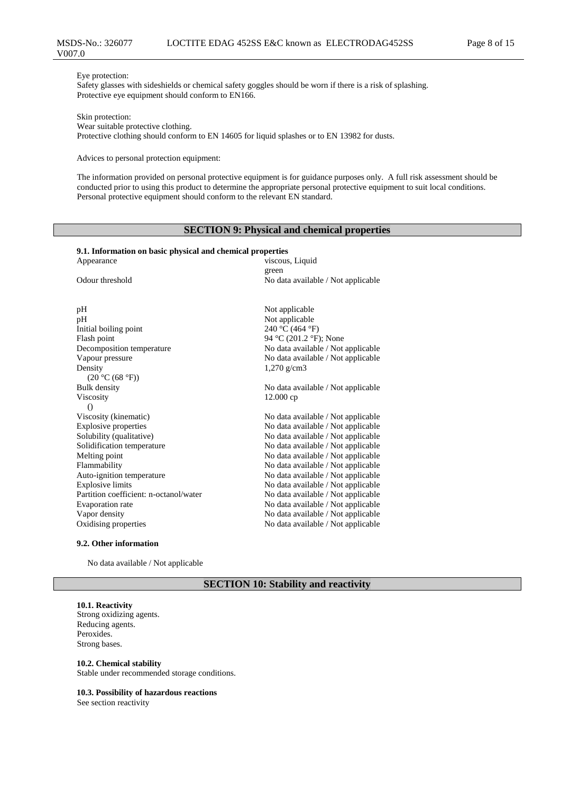#### Eye protection:

Safety glasses with sideshields or chemical safety goggles should be worn if there is a risk of splashing. Protective eye equipment should conform to EN166.

Skin protection:

Wear suitable protective clothing. Protective clothing should conform to EN 14605 for liquid splashes or to EN 13982 for dusts.

Advices to personal protection equipment:

The information provided on personal protective equipment is for guidance purposes only. A full risk assessment should be conducted prior to using this product to determine the appropriate personal protective equipment to suit local conditions. Personal protective equipment should conform to the relevant EN standard.

## **SECTION 9: Physical and chemical properties**

#### **9.1. Information on basic physical and chemical properties**

| Appearance                             | viscous, Liquid                    |
|----------------------------------------|------------------------------------|
|                                        | green                              |
| Odour threshold                        | No data available / Not applicable |
|                                        |                                    |
| pH                                     | Not applicable                     |
| pH                                     | Not applicable                     |
| Initial boiling point                  | 240 °C (464 °F)                    |
| Flash point                            | 94 °C (201.2 °F); None             |
| Decomposition temperature              | No data available / Not applicable |
| Vapour pressure                        | No data available / Not applicable |
| Density                                | $1,270 \text{ g/cm}$ 3             |
| (20 °C (68 °F))                        |                                    |
| <b>Bulk</b> density                    | No data available / Not applicable |
| <b>Viscosity</b>                       | 12.000cp                           |
| $\Omega$                               |                                    |
| Viscosity (kinematic)                  | No data available / Not applicable |
| <b>Explosive properties</b>            | No data available / Not applicable |
| Solubility (qualitative)               | No data available / Not applicable |
| Solidification temperature             | No data available / Not applicable |
| Melting point                          | No data available / Not applicable |
| Flammability                           | No data available / Not applicable |
| Auto-ignition temperature              | No data available / Not applicable |
| <b>Explosive limits</b>                | No data available / Not applicable |
| Partition coefficient: n-octanol/water | No data available / Not applicable |
| Evaporation rate                       | No data available / Not applicable |
| Vapor density                          | No data available / Not applicable |
| Oxidising properties                   | No data available / Not applicable |
|                                        |                                    |

#### **9.2. Other information**

No data available / Not applicable

## **SECTION 10: Stability and reactivity**

#### **10.1. Reactivity**

Strong oxidizing agents. Reducing agents. Peroxides. Strong bases.

#### **10.2. Chemical stability**

Stable under recommended storage conditions.

#### **10.3. Possibility of hazardous reactions**

See section reactivity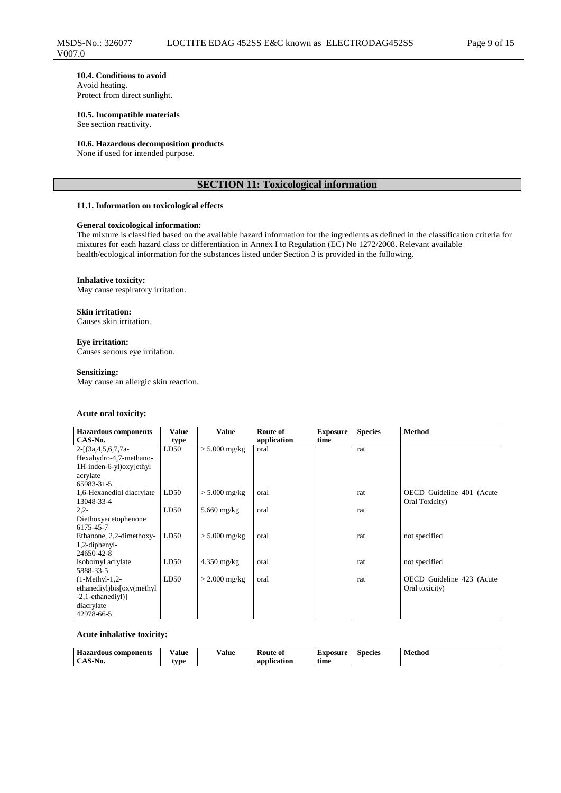#### **10.4. Conditions to avoid** Avoid heating.

Protect from direct sunlight.

**10.5. Incompatible materials** See section reactivity.

#### **10.6. Hazardous decomposition products**

None if used for intended purpose.

## **SECTION 11: Toxicological information**

#### **11.1. Information on toxicological effects**

## **General toxicological information:**

The mixture is classified based on the available hazard information for the ingredients as defined in the classification criteria for mixtures for each hazard class or differentiation in Annex I to Regulation (EC) No 1272/2008. Relevant available health/ecological information for the substances listed under Section 3 is provided in the following.

#### **Inhalative toxicity:**

May cause respiratory irritation.

## **Skin irritation:**

Causes skin irritation.

**Eye irritation:** Causes serious eye irritation.

#### **Sensitizing:**

May cause an allergic skin reaction.

#### **Acute oral toxicity:**

| <b>Hazardous</b> components | <b>Value</b> | <b>Value</b>    | Route of    | <b>Exposure</b> | <b>Species</b> | <b>Method</b>             |
|-----------------------------|--------------|-----------------|-------------|-----------------|----------------|---------------------------|
| CAS-No.                     | type         |                 | application | time            |                |                           |
| $2-[3a,4,5,6,7,7a-$         | LD50         | $> 5.000$ mg/kg | oral        |                 | rat            |                           |
| Hexahydro-4,7-methano-      |              |                 |             |                 |                |                           |
| 1H-inden-6-yl)oxy]ethyl     |              |                 |             |                 |                |                           |
| acrylate                    |              |                 |             |                 |                |                           |
| 65983-31-5                  |              |                 |             |                 |                |                           |
| 1,6-Hexanediol diacrylate   | LD50         | $> 5.000$ mg/kg | oral        |                 | rat            | OECD Guideline 401 (Acute |
| 13048-33-4                  |              |                 |             |                 |                | Oral Toxicity)            |
| $2,2-$                      | LD50         | $5.660$ mg/kg   | oral        |                 | rat            |                           |
| Diethoxyacetophenone        |              |                 |             |                 |                |                           |
| 6175-45-7                   |              |                 |             |                 |                |                           |
| Ethanone, 2,2-dimethoxy-    | LD50         | $> 5.000$ mg/kg | oral        |                 | rat            | not specified             |
| 1,2-diphenyl-               |              |                 |             |                 |                |                           |
| 24650-42-8                  |              |                 |             |                 |                |                           |
| Isobornyl acrylate          | LD50         | $4.350$ mg/kg   | oral        |                 | rat            | not specified             |
| 5888-33-5                   |              |                 |             |                 |                |                           |
| $(1-Methyl-1,2-$            | LD50         | $>$ 2.000 mg/kg | oral        |                 | rat            | OECD Guideline 423 (Acute |
| ethanediyl)bis[oxy(methyl   |              |                 |             |                 |                | Oral toxicity)            |
| $-2$ , 1-ethanediyl)]       |              |                 |             |                 |                |                           |
| diacrylate                  |              |                 |             |                 |                |                           |
| 42978-66-5                  |              |                 |             |                 |                |                           |

#### **Acute inhalative toxicity:**

| <b>Hozon</b><br>components | <br>⁄ alue<br>. | ⁄ alue<br>. | <b>Route of</b><br>__ | txposure | Species | . .<br>Method<br>$\sim$<br>. |
|----------------------------|-----------------|-------------|-----------------------|----------|---------|------------------------------|
| 11V.                       | <b>VDE</b>      |             | $\sim$<br>ication     | time     |         |                              |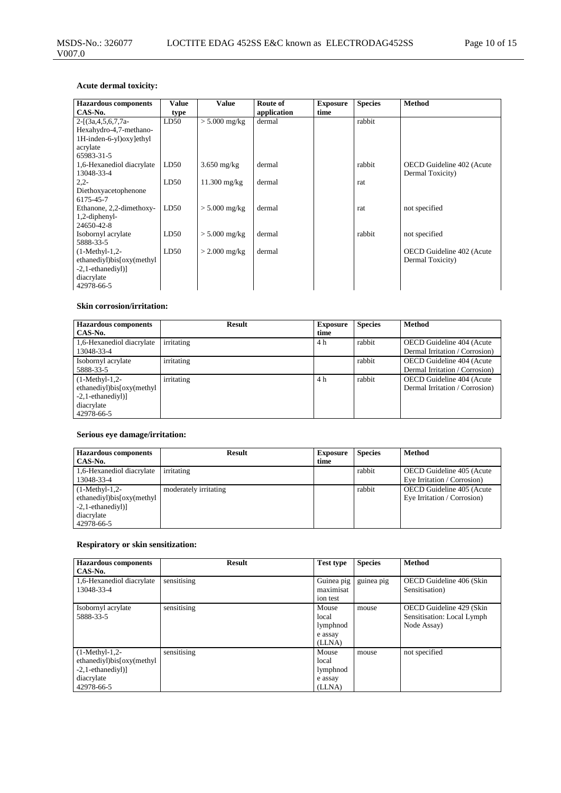## **Acute dermal toxicity:**

| <b>Hazardous components</b> | <b>Value</b> | <b>Value</b>    | Route of    | <b>Exposure</b> | <b>Species</b> | <b>Method</b>             |
|-----------------------------|--------------|-----------------|-------------|-----------------|----------------|---------------------------|
| CAS-No.                     | type         |                 | application | time            |                |                           |
| $2-[3a,4,5,6,7,7a-$         | LD50         | $> 5.000$ mg/kg | dermal      |                 | rabbit         |                           |
| Hexahydro-4,7-methano-      |              |                 |             |                 |                |                           |
| 1H-inden-6-yl)oxylethyl     |              |                 |             |                 |                |                           |
| acrylate                    |              |                 |             |                 |                |                           |
| 65983-31-5                  |              |                 |             |                 |                |                           |
| 1,6-Hexanediol diacrylate   | LD50         | $3.650$ mg/kg   | dermal      |                 | rabbit         | OECD Guideline 402 (Acute |
| 13048-33-4                  |              |                 |             |                 |                | Dermal Toxicity)          |
| $2,2-$                      | LD50         | $11.300$ mg/kg  | dermal      |                 | rat            |                           |
| Diethoxyacetophenone        |              |                 |             |                 |                |                           |
| 6175-45-7                   |              |                 |             |                 |                |                           |
| Ethanone, 2,2-dimethoxy-    | LD50         | $> 5.000$ mg/kg | dermal      |                 | rat            | not specified             |
| 1,2-diphenyl-               |              |                 |             |                 |                |                           |
| 24650-42-8                  |              |                 |             |                 |                |                           |
| Isobornyl acrylate          | LD50         | $> 5.000$ mg/kg | dermal      |                 | rabbit         | not specified             |
| 5888-33-5                   |              |                 |             |                 |                |                           |
| $(1-Methyl-1,2-$            | LD50         | $>$ 2.000 mg/kg | dermal      |                 |                | OECD Guideline 402 (Acute |
| ethanediyl)bis[oxy(methyl   |              |                 |             |                 |                | Dermal Toxicity)          |
| $-2,1$ -ethanediyl $)]$     |              |                 |             |                 |                |                           |
| diacrylate                  |              |                 |             |                 |                |                           |
| 42978-66-5                  |              |                 |             |                 |                |                           |

## **Skin corrosion/irritation:**

| <b>Hazardous</b> components | <b>Result</b> | <b>Exposure</b> | <b>Species</b> | <b>Method</b>                  |
|-----------------------------|---------------|-----------------|----------------|--------------------------------|
| CAS-No.                     |               | time            |                |                                |
| 1,6-Hexanediol diacrylate   | irritating    | 4 h             | rabbit         | OECD Guideline 404 (Acute      |
| 13048-33-4                  |               |                 |                | Dermal Irritation / Corrosion) |
| Isobornyl acrylate          | irritating    |                 | rabbit         | OECD Guideline 404 (Acute      |
| 5888-33-5                   |               |                 |                | Dermal Irritation / Corrosion) |
| $(1-Methyl-1,2-$            | irritating    | 4 h             | rabbit         | OECD Guideline 404 (Acute      |
| ethanediyl)bis[oxy(methyl   |               |                 |                | Dermal Irritation / Corrosion) |
| $-2$ , 1-ethanediyl)        |               |                 |                |                                |
| diacrylate                  |               |                 |                |                                |
| 42978-66-5                  |               |                 |                |                                |

## **Serious eye damage/irritation:**

| <b>Hazardous components</b> | <b>Result</b>         | <b>Exposure</b> | <b>Species</b> | <b>Method</b>               |
|-----------------------------|-----------------------|-----------------|----------------|-----------------------------|
| CAS-No.                     |                       | time            |                |                             |
| 1,6-Hexanediol diacrylate   | irritating            |                 | rabbit         | OECD Guideline 405 (Acute   |
| 13048-33-4                  |                       |                 |                | Eye Irritation / Corrosion) |
| $(1-Methyl-1,2-$            | moderately irritating |                 | rabbit         | OECD Guideline 405 (Acute   |
| ethanediyl)bis[oxy(methyl   |                       |                 |                | Eye Irritation / Corrosion) |
| $-2$ , 1-ethanediyl)]       |                       |                 |                |                             |
| diacrylate                  |                       |                 |                |                             |
| 42978-66-5                  |                       |                 |                |                             |

## **Respiratory or skin sensitization:**

| <b>Hazardous components</b><br>CAS-No.                                                             | <b>Result</b> | <b>Test type</b>                                | <b>Species</b> | <b>Method</b>                                                         |
|----------------------------------------------------------------------------------------------------|---------------|-------------------------------------------------|----------------|-----------------------------------------------------------------------|
| 1,6-Hexanediol diacrylate<br>13048-33-4                                                            | sensitising   | Guinea pig<br>maximisat<br>ion test             | guinea pig     | OECD Guideline 406 (Skin<br>Sensitisation)                            |
| Isobornyl acrylate<br>5888-33-5                                                                    | sensitising   | Mouse<br>local<br>lymphnod<br>e assay<br>(LLNA) | mouse          | OECD Guideline 429 (Skin<br>Sensitisation: Local Lymph<br>Node Assay) |
| $(1-Methyl-1,2-$<br>ethanediyl)bis[oxy(methyl<br>$-2$ , 1-ethanediyl)]<br>diacrylate<br>42978-66-5 | sensitising   | Mouse<br>local<br>lymphnod<br>e assay<br>(LLNA) | mouse          | not specified                                                         |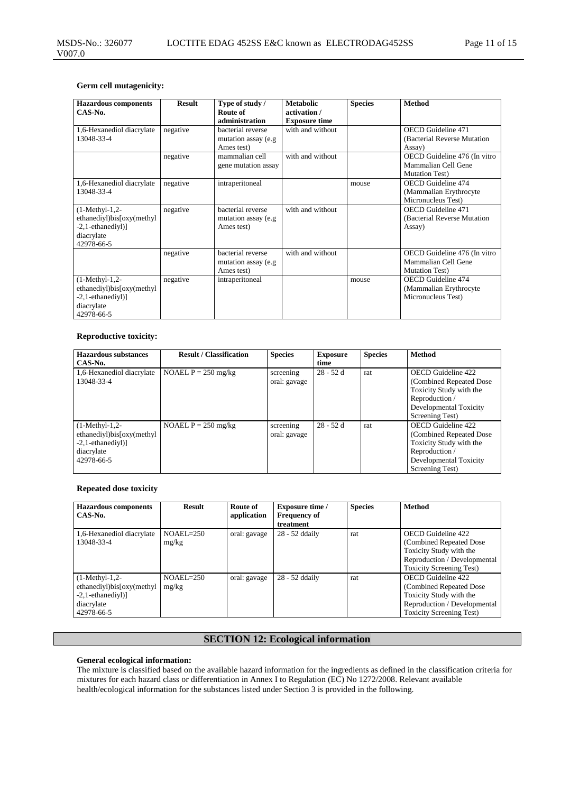## **Germ cell mutagenicity:**

| <b>Hazardous components</b>                                                                        | <b>Result</b> | Type of study /                                         | <b>Metabolic</b>                     | <b>Species</b> | <b>Method</b>                                                                 |
|----------------------------------------------------------------------------------------------------|---------------|---------------------------------------------------------|--------------------------------------|----------------|-------------------------------------------------------------------------------|
| $CAS-N0$ .                                                                                         |               | Route of<br>administration                              | activation /<br><b>Exposure time</b> |                |                                                                               |
| 1,6-Hexanediol diacrylate<br>13048-33-4                                                            | negative      | bacterial reverse<br>mutation assay (e.g<br>Ames test)  | with and without                     |                | <b>OECD</b> Guideline 471<br>(Bacterial Reverse Mutation<br>Assay)            |
|                                                                                                    | negative      | mammalian cell<br>gene mutation assay                   | with and without                     |                | OECD Guideline 476 (In vitro<br>Mammalian Cell Gene<br><b>Mutation Test</b> ) |
| 1,6-Hexanediol diacrylate<br>13048-33-4                                                            | negative      | intraperitoneal                                         |                                      | mouse          | <b>OECD</b> Guideline 474<br>(Mammalian Erythrocyte<br>Micronucleus Test)     |
| $(1-Methyl-1,2-$<br>ethanediyl)bis[oxy(methyl<br>$-2$ , 1-ethanediyl)]<br>diacrylate<br>42978-66-5 | negative      | bacterial reverse<br>mutation assay (e.g<br>Ames test)  | with and without                     |                | <b>OECD</b> Guideline 471<br>(Bacterial Reverse Mutation)<br>Assay)           |
|                                                                                                    | negative      | bacterial reverse<br>mutation assay (e.g.<br>Ames test) | with and without                     |                | OECD Guideline 476 (In vitro<br>Mammalian Cell Gene<br><b>Mutation Test</b> ) |
| $(1-Methyl-1,2-$<br>ethanediyl)bis[oxy(methyl<br>$-2$ , 1-ethanediyl)]<br>diacrylate<br>42978-66-5 | negative      | intraperitoneal                                         |                                      | mouse          | <b>OECD</b> Guideline 474<br>(Mammalian Erythrocyte)<br>Micronucleus Test)    |

## **Reproductive toxicity:**

| <b>Hazardous substances</b>                                                                          | <b>Result / Classification</b> | <b>Species</b>            | <b>Exposure</b> | <b>Species</b> | <b>Method</b>                                                                                                                            |
|------------------------------------------------------------------------------------------------------|--------------------------------|---------------------------|-----------------|----------------|------------------------------------------------------------------------------------------------------------------------------------------|
| CAS-No.                                                                                              |                                |                           | time            |                |                                                                                                                                          |
| 1,6-Hexanediol diacrylate<br>13048-33-4                                                              | NOAEL $P = 250$ mg/kg          | screening<br>oral: gavage | $28 - 52d$      | rat            | OECD Guideline 422<br>(Combined Repeated Dose)<br>Toxicity Study with the<br>Reproduction /<br>Developmental Toxicity<br>Screening Test) |
| $(1-Methyl-1,2-$<br>ethanediyl)bis[oxy(methyl<br>$-2,1$ -ethanediyl) $]$<br>diacrylate<br>42978-66-5 | NOAEL $P = 250$ mg/kg          | screening<br>oral: gavage | $28 - 52d$      | rat            | OECD Guideline 422<br>(Combined Repeated Dose)<br>Toxicity Study with the<br>Reproduction /<br>Developmental Toxicity<br>Screening Test) |

## **Repeated dose toxicity**

| <b>Hazardous</b> components<br>CAS-No.                                                             | <b>Result</b>        | Route of<br>application | <b>Exposure time /</b><br><b>Frequency of</b><br>treatment | <b>Species</b> | <b>Method</b>                                                                                                                                       |
|----------------------------------------------------------------------------------------------------|----------------------|-------------------------|------------------------------------------------------------|----------------|-----------------------------------------------------------------------------------------------------------------------------------------------------|
| 1,6-Hexanediol diacrylate<br>13048-33-4                                                            | $NOAEL=250$<br>mg/kg | oral: gavage            | 28 - 52 ddaily                                             | rat            | OECD Guideline 422<br>(Combined Repeated Dose)<br>Toxicity Study with the<br>Reproduction / Developmental<br><b>Toxicity Screening Test)</b>        |
| $(1-Methyl-1,2-$<br>ethanediyl)bis[oxy(methyl<br>$-2$ , 1-ethanediyl)]<br>diacrylate<br>42978-66-5 | $NOAEL=250$<br>mg/kg | oral: gavage            | 28 - 52 ddaily                                             | rat            | <b>OECD</b> Guideline 422<br>(Combined Repeated Dose)<br>Toxicity Study with the<br>Reproduction / Developmental<br><b>Toxicity Screening Test)</b> |

## **SECTION 12: Ecological information**

#### **General ecological information:**

The mixture is classified based on the available hazard information for the ingredients as defined in the classification criteria for mixtures for each hazard class or differentiation in Annex I to Regulation (EC) No 1272/2008. Relevant available health/ecological information for the substances listed under Section 3 is provided in the following.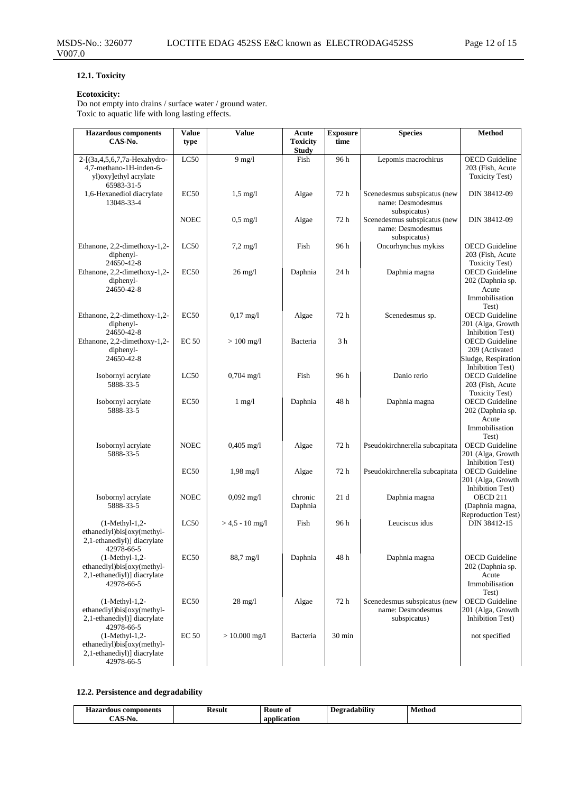## **12.1. Toxicity**

### **Ecotoxicity:**

Do not empty into drains / surface water / ground water. Toxic to aquatic life with long lasting effects.

| <b>Hazardous</b> components<br>CAS-No.                                                              | Value<br>type    | Value               | Acute<br><b>Toxicity</b> | <b>Exposure</b><br>time | <b>Species</b>                                                    | Method                                                                             |
|-----------------------------------------------------------------------------------------------------|------------------|---------------------|--------------------------|-------------------------|-------------------------------------------------------------------|------------------------------------------------------------------------------------|
|                                                                                                     |                  |                     | <b>Study</b>             |                         |                                                                   |                                                                                    |
| 2-[(3a, 4, 5, 6, 7, 7a-Hexahydro-<br>4,7-methano-1H-inden-6-<br>yl)oxy]ethyl acrylate<br>65983-31-5 | LC50             | $9$ mg/l            | Fish                     | 96 h                    | Lepomis macrochirus                                               | <b>OECD</b> Guideline<br>203 (Fish, Acute<br><b>Toxicity Test)</b>                 |
| 1,6-Hexanediol diacrylate<br>13048-33-4                                                             | EC50             | $1,5 \text{ mg}/l$  | Algae                    | 72 h                    | Scenedesmus subspicatus (new<br>name: Desmodesmus<br>subspicatus) | DIN 38412-09                                                                       |
|                                                                                                     | <b>NOEC</b>      | $0.5 \text{ mg}/1$  | Algae                    | 72 h                    | Scenedesmus subspicatus (new<br>name: Desmodesmus<br>subspicatus) | DIN 38412-09                                                                       |
| Ethanone, 2,2-dimethoxy-1,2-<br>diphenyl-<br>24650-42-8                                             | LC50             | $7,2 \text{ mg}/1$  | Fish                     | 96 h                    | Oncorhynchus mykiss                                               | <b>OECD</b> Guideline<br>203 (Fish, Acute<br><b>Toxicity Test)</b>                 |
| Ethanone, 2,2-dimethoxy-1,2-<br>diphenyl-<br>24650-42-8                                             | EC50             | $26 \text{ mg}/l$   | Daphnia                  | 24 h                    | Daphnia magna                                                     | <b>OECD</b> Guideline<br>202 (Daphnia sp.<br>Acute<br>Immobilisation<br>Test)      |
| Ethanone, 2,2-dimethoxy-1,2-<br>diphenyl-<br>24650-42-8                                             | EC50             | $0,17$ mg/l         | Algae                    | 72h                     | Scenedesmus sp.                                                   | <b>OECD</b> Guideline<br>201 (Alga, Growth<br>Inhibition Test)                     |
| Ethanone, 2,2-dimethoxy-1,2-<br>diphenyl-<br>24650-42-8                                             | <b>EC 50</b>     | $> 100$ mg/l        | Bacteria                 | 3 <sub>h</sub>          |                                                                   | <b>OECD</b> Guideline<br>209 (Activated<br>Sludge, Respiration<br>Inhibition Test) |
| Isobornyl acrylate<br>5888-33-5                                                                     | LC50             | $0,704$ mg/l        | Fish                     | 96 h                    | Danio rerio                                                       | <b>OECD</b> Guideline<br>203 (Fish, Acute<br><b>Toxicity Test)</b>                 |
| Isobornyl acrylate<br>5888-33-5                                                                     | EC50             | $1$ mg/ $1$         | Daphnia                  | 48 h                    | Daphnia magna                                                     | <b>OECD</b> Guideline<br>202 (Daphnia sp.<br>Acute<br>Immobilisation<br>Test)      |
| Isobornyl acrylate<br>5888-33-5                                                                     | <b>NOEC</b>      | $0,405$ mg/l        | Algae                    | 72 h                    | Pseudokirchnerella subcapitata                                    | <b>OECD</b> Guideline<br>201 (Alga, Growth<br>Inhibition Test)                     |
|                                                                                                     | EC50             | $1,98 \text{ mg}/1$ | Algae                    | 72 h                    | Pseudokirchnerella subcapitata                                    | <b>OECD</b> Guideline<br>201 (Alga, Growth<br><b>Inhibition Test)</b>              |
| Isobornyl acrylate<br>5888-33-5                                                                     | <b>NOEC</b>      | $0,092$ mg/l        | chronic<br>Daphnia       | 21d                     | Daphnia magna                                                     | OECD 211<br>(Daphnia magna,<br>Reproduction Test)                                  |
| $(1-Methyl-1,2-$<br>ethanediyl)bis[oxy(methyl-<br>2,1-ethanediyl)] diacrylate<br>42978-66-5         | LC50             | $> 4.5 - 10$ mg/l   | Fish                     | 96 h                    | Leuciscus idus                                                    | DIN 38412-15                                                                       |
| $(1-Methyl-1,2-$<br>ethanediyl)bis[oxy(methyl-<br>2,1-ethanediyl)] diacrylate<br>42978-66-5         | EC <sub>50</sub> | 88,7 mg/l           | Daphnia                  | 48h                     | Daphnia magna                                                     | <b>OECD</b> Guideline<br>202 (Daphnia sp.<br>Acute<br>Immobilisation<br>Test)      |
| $(1-Methyl-1,2-$<br>ethanediyl)bis[oxy(methyl-<br>2,1-ethanediyl)] diacrylate<br>42978-66-5         | EC <sub>50</sub> | $28 \text{ mg}/l$   | Algae                    | 72 h                    | Scenedesmus subspicatus (new<br>name: Desmodesmus<br>subspicatus) | <b>OECD</b> Guideline<br>201 (Alga, Growth<br>Inhibition Test)                     |
| $(1-Methyl-1,2-$<br>ethanediyl)bis[oxy(methyl-<br>2,1-ethanediyl)] diacrylate<br>42978-66-5         | <b>EC 50</b>     | $> 10.000$ mg/l     | Bacteria                 | 30 min                  |                                                                   | not specified                                                                      |

## **12.2. Persistence and degradability**

| $- -$<br>, components<br>Haz <sup>r</sup><br>dous | Result<br>. | <b>Route of</b><br>$\sim$ | $\cdots$<br>Degradabilit | Method<br>. |
|---------------------------------------------------|-------------|---------------------------|--------------------------|-------------|
| C.<br>NO.                                         |             | anı<br>ication            |                          |             |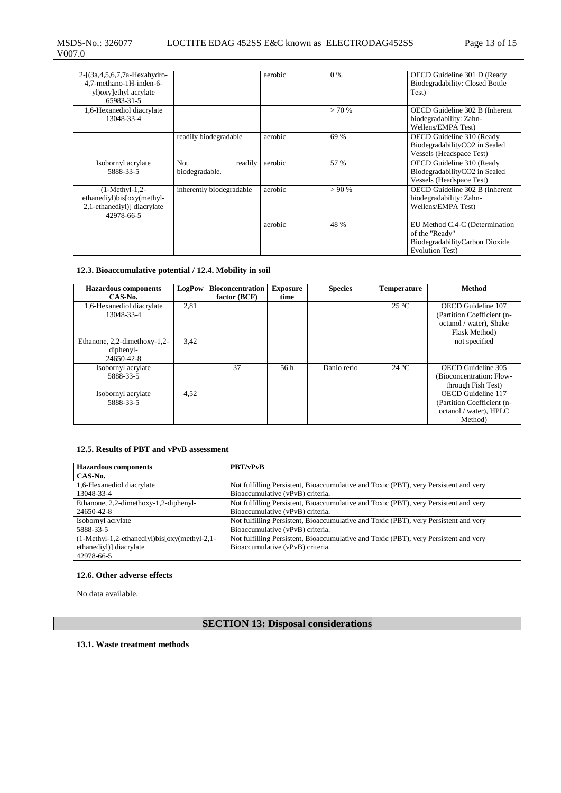| $2-[3a,4,5,6,7,7a-Hexahydro-$<br>4,7-methano-1H-inden-6-<br>yl) oxy] ethyl acrylate<br>65983-31-5 |                                   | aerobic | 0 %   | OECD Guideline 301 D (Ready<br>Biodegradability: Closed Bottle<br>Test)                               |
|---------------------------------------------------------------------------------------------------|-----------------------------------|---------|-------|-------------------------------------------------------------------------------------------------------|
| 1,6-Hexanediol diacrylate<br>13048-33-4                                                           |                                   |         | >70%  | OECD Guideline 302 B (Inherent<br>biodegradability: Zahn-<br>Wellens/EMPA Test)                       |
|                                                                                                   | readily biodegradable             | aerobic | 69 %  | OECD Guideline 310 (Ready<br>BiodegradabilityCO2 in Sealed<br>Vessels (Headspace Test)                |
| Isobornyl acrylate<br>5888-33-5                                                                   | readily<br>Not.<br>biodegradable. | aerobic | 57 %  | OECD Guideline 310 (Ready<br>BiodegradabilityCO2 in Sealed<br><b>Vessels (Headspace Test)</b>         |
| $(1-Methyl-1,2-$<br>ethanediyl)bis[oxy(methyl-<br>2,1-ethanediyl)] diacrylate<br>42978-66-5       | inherently biodegradable          | aerobic | > 90% | OECD Guideline 302 B (Inherent<br>biodegradability: Zahn-<br>Wellens/EMPA Test)                       |
|                                                                                                   |                                   | aerobic | 48 %  | EU Method C.4-C (Determination<br>of the "Ready"<br>BiodegradabilityCarbon Dioxide<br>Evolution Test) |

## **12.3. Bioaccumulative potential / 12.4. Mobility in soil**

| <b>Hazardous components</b>     | LogPow | <b>Bioconcentration</b> | <b>Exposure</b> | <b>Species</b> | <b>Temperature</b> | Method                     |
|---------------------------------|--------|-------------------------|-----------------|----------------|--------------------|----------------------------|
| CAS-No.                         |        | factor (BCF)            | time            |                |                    |                            |
| 1,6-Hexanediol diacrylate       | 2,81   |                         |                 |                | $25^{\circ}$ C     | OECD Guideline 107         |
| 13048-33-4                      |        |                         |                 |                |                    | (Partition Coefficient (n- |
|                                 |        |                         |                 |                |                    | octanol / water), Shake    |
|                                 |        |                         |                 |                |                    | Flask Method)              |
| Ethanone, $2,2$ -dimethoxy-1,2- | 3,42   |                         |                 |                |                    | not specified              |
| diphenyl-                       |        |                         |                 |                |                    |                            |
| 24650-42-8                      |        |                         |                 |                |                    |                            |
| Isobornyl acrylate              |        | 37                      | 56 h            | Danio rerio    | $24^{\circ}$ C     | OECD Guideline 305         |
| 5888-33-5                       |        |                         |                 |                |                    | (Bioconcentration: Flow-   |
|                                 |        |                         |                 |                |                    | through Fish Test)         |
| Isobornyl acrylate              | 4,52   |                         |                 |                |                    | OECD Guideline 117         |
| 5888-33-5                       |        |                         |                 |                |                    | (Partition Coefficient (n- |
|                                 |        |                         |                 |                |                    | octanol / water), HPLC     |
|                                 |        |                         |                 |                |                    | Method)                    |

## **12.5. Results of PBT and vPvB assessment**

| <b>Hazardous components</b>                        | <b>PBT/vPvB</b>                                                                      |
|----------------------------------------------------|--------------------------------------------------------------------------------------|
| CAS-No.                                            |                                                                                      |
| 1,6-Hexanediol diacrylate                          | Not fulfilling Persistent, Bioaccumulative and Toxic (PBT), very Persistent and very |
| 13048-33-4                                         | Bioaccumulative (vPvB) criteria.                                                     |
| Ethanone, 2,2-dimethoxy-1,2-diphenyl-              | Not fulfilling Persistent, Bioaccumulative and Toxic (PBT), very Persistent and very |
| 24650-42-8                                         | Bioaccumulative (vPvB) criteria.                                                     |
| Isobornyl acrylate                                 | Not fulfilling Persistent, Bioaccumulative and Toxic (PBT), very Persistent and very |
| 5888-33-5                                          | Bioaccumulative (vPvB) criteria.                                                     |
| $(1-Methyl-1,2-ethanedivl)$ bis $[oxy(methyl-2,1-$ | Not fulfilling Persistent, Bioaccumulative and Toxic (PBT), very Persistent and very |
| ethanediyl)] diacrylate                            | Bioaccumulative (vPvB) criteria.                                                     |
| 42978-66-5                                         |                                                                                      |

## **12.6. Other adverse effects**

No data available.

# **SECTION 13: Disposal considerations**

#### **13.1. Waste treatment methods**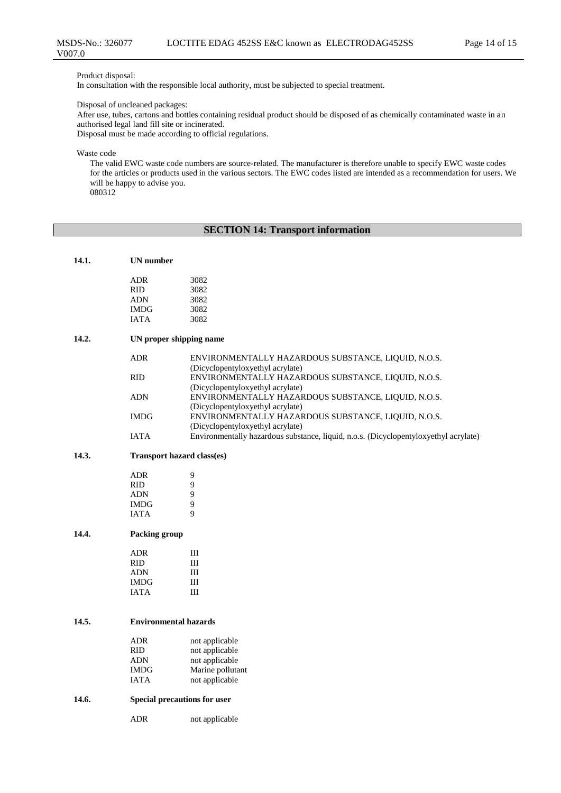Product disposal:

In consultation with the responsible local authority, must be subjected to special treatment.

Disposal of uncleaned packages:

After use, tubes, cartons and bottles containing residual product should be disposed of as chemically contaminated waste in an authorised legal land fill site or incinerated.

Disposal must be made according to official regulations.

Waste code

The valid EWC waste code numbers are source-related. The manufacturer is therefore unable to specify EWC waste codes for the articles or products used in the various sectors. The EWC codes listed are intended as a recommendation for users. We will be happy to advise you.

080312

## **SECTION 14: Transport information**

| 14.1. | <b>UN</b> number        |                                                                                         |
|-------|-------------------------|-----------------------------------------------------------------------------------------|
|       | <b>ADR</b>              | 3082                                                                                    |
|       | RID.                    | 3082                                                                                    |
|       | <b>ADN</b>              | 3082                                                                                    |
|       | <b>IMDG</b>             | 3082                                                                                    |
|       | <b>IATA</b>             | 3082                                                                                    |
| 14.2. | UN proper shipping name |                                                                                         |
|       | <b>ADR</b>              | ENVIRONMENTALLY HAZARDOUS SUBSTANCE, LIQUID, N.O.S.<br>(Dicyclopentyloxyethyl acrylate) |
|       | RID.                    | ENVIRONMENTALLY HAZARDOUS SUBSTANCE, LIQUID, N.O.S.<br>(Dicyclopentyloxyethyl acrylate) |
|       | <b>ADN</b>              | ENVIRONMENTALLY HAZARDOUS SUBSTANCE, LIQUID, N.O.S.<br>(Dicyclopentyloxyethyl acrylate) |
|       | <b>IMDG</b>             | ENVIRONMENTALLY HAZARDOUS SUBSTANCE, LIQUID, N.O.S.<br>(Dicyclopentyloxyethyl acrylate) |
|       | <b>IATA</b>             | Environmentally hazardous substance, liquid, n.o.s. (Dicyclopentyloxyethyl acrylate)    |

## **14.3. Transport hazard class(es)**

| ADR         | 9 |
|-------------|---|
| <b>RID</b>  | 9 |
| ADN         | 9 |
| <b>IMDG</b> | 9 |
| <b>JATA</b> | q |

#### **14.4. Packing group**

| ADR         | Ш |
|-------------|---|
| <b>RID</b>  | Ш |
| <b>ADN</b>  | Ш |
| <b>IMDG</b> | Ш |
| <b>JATA</b> | Ш |

#### **14.5. Environmental hazards**

| ADR         | not applicable   |
|-------------|------------------|
| <b>RID</b>  | not applicable   |
| <b>ADN</b>  | not applicable   |
| <b>IMDG</b> | Marine pollutant |
| <b>IATA</b> | not applicable   |

#### **14.6. Special precautions for user**

ADR not applicable